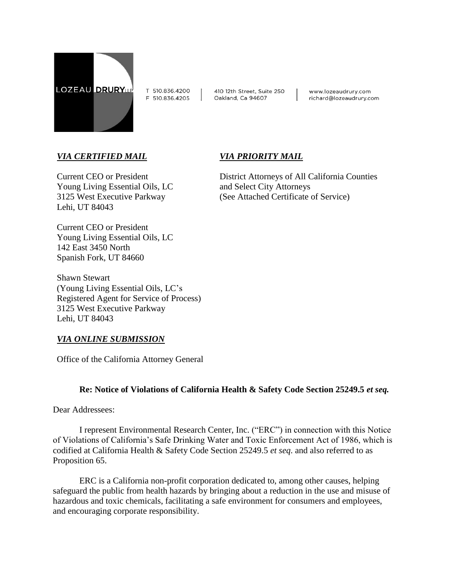

T 510.836.4200 F 510.836.4205

410 12th Street, Suite 250 Oakland, Ca 94607

*VIA PRIORITY MAIL*

and Select City Attorneys

District Attorneys of All California Counties

(See Attached Certificate of Service)

www.lozeaudrury.com richard@lozeaudrury.com

# *VIA CERTIFIED MAIL*

Current CEO or President Young Living Essential Oils, LC 3125 West Executive Parkway Lehi, UT 84043

Current CEO or President Young Living Essential Oils, LC

142 East 3450 North Spanish Fork, UT 84660

Shawn Stewart (Young Living Essential Oils, LC's Registered Agent for Service of Process) 3125 West Executive Parkway Lehi, UT 84043

## *VIA ONLINE SUBMISSION*

Office of the California Attorney General

## **Re: Notice of Violations of California Health & Safety Code Section 25249.5** *et seq.*

Dear Addressees:

I represent Environmental Research Center, Inc. ("ERC") in connection with this Notice of Violations of California's Safe Drinking Water and Toxic Enforcement Act of 1986, which is codified at California Health & Safety Code Section 25249.5 *et seq*. and also referred to as Proposition 65.

ERC is a California non-profit corporation dedicated to, among other causes, helping safeguard the public from health hazards by bringing about a reduction in the use and misuse of hazardous and toxic chemicals, facilitating a safe environment for consumers and employees, and encouraging corporate responsibility.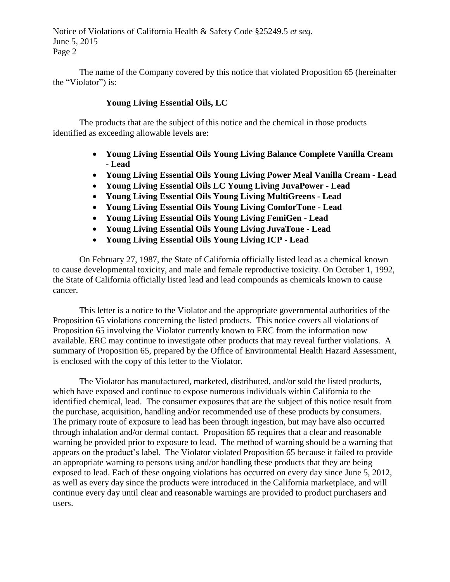Notice of Violations of California Health & Safety Code §25249.5 *et seq.* June 5, 2015 Page 2

The name of the Company covered by this notice that violated Proposition 65 (hereinafter the "Violator") is:

## **Young Living Essential Oils, LC**

The products that are the subject of this notice and the chemical in those products identified as exceeding allowable levels are:

- **Young Living Essential Oils Young Living Balance Complete Vanilla Cream - Lead**
- **Young Living Essential Oils Young Living Power Meal Vanilla Cream - Lead**
- **Young Living Essential Oils LC Young Living JuvaPower - Lead**
- **Young Living Essential Oils Young Living MultiGreens - Lead**
- **Young Living Essential Oils Young Living ComforTone - Lead**
- **Young Living Essential Oils Young Living FemiGen - Lead**
- **Young Living Essential Oils Young Living JuvaTone - Lead**
- **Young Living Essential Oils Young Living ICP - Lead**

On February 27, 1987, the State of California officially listed lead as a chemical known to cause developmental toxicity, and male and female reproductive toxicity. On October 1, 1992, the State of California officially listed lead and lead compounds as chemicals known to cause cancer.

This letter is a notice to the Violator and the appropriate governmental authorities of the Proposition 65 violations concerning the listed products. This notice covers all violations of Proposition 65 involving the Violator currently known to ERC from the information now available. ERC may continue to investigate other products that may reveal further violations. A summary of Proposition 65, prepared by the Office of Environmental Health Hazard Assessment, is enclosed with the copy of this letter to the Violator.

The Violator has manufactured, marketed, distributed, and/or sold the listed products, which have exposed and continue to expose numerous individuals within California to the identified chemical, lead. The consumer exposures that are the subject of this notice result from the purchase, acquisition, handling and/or recommended use of these products by consumers. The primary route of exposure to lead has been through ingestion, but may have also occurred through inhalation and/or dermal contact. Proposition 65 requires that a clear and reasonable warning be provided prior to exposure to lead. The method of warning should be a warning that appears on the product's label. The Violator violated Proposition 65 because it failed to provide an appropriate warning to persons using and/or handling these products that they are being exposed to lead. Each of these ongoing violations has occurred on every day since June 5, 2012, as well as every day since the products were introduced in the California marketplace, and will continue every day until clear and reasonable warnings are provided to product purchasers and users.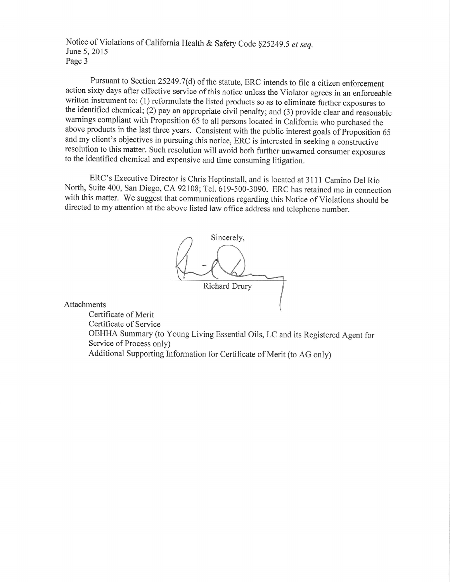Notice of Violations of California Health & Safety Code §25249.5 et seq. June 5,2015 Page 3

Pursuant to Section 25249.7(d) of the statute, ERC intends to file a citizen enforcement action sixty days after effective service of this notice unless the Violator agrees in an enforceable written instrument to: (1) reformulate the listed products so as to eliminate further exposures to the identified chemical; (2) pay an appropriate civil penalty; and (3) provide clear and reasonable warnings compliant with Proposition 65 to all persons located in California who purchased the above products in the last three years. Consistent with the public interest goals of Proposition 65 and my client's objectives in pursuing this notice, ERC is interested in seeking a constructive resolution to this matter. Such resolution will avoid both further unwarned consumer exposures to the identified chemical and expensive and time consuming litigation.

ERC's Executive Director is Chris Heptinstall, and is located at3lll Camino Del Rio North, Suite 400, San Diego, CA 92108; Tel. 619-500-3090. ERC has retained me in connection with this matter. We suggest that communications regarding this Notice of Violations should be directed to my attention at the above listed law office address and telephone number.



Attachments

Certificate of Merit Certificate of Service OEHHA Summary (to Young Living Essential Oils, LC and its Registered Agent for Service of Process only) Additional Supporting Information for Certificate of Merit (to AG only)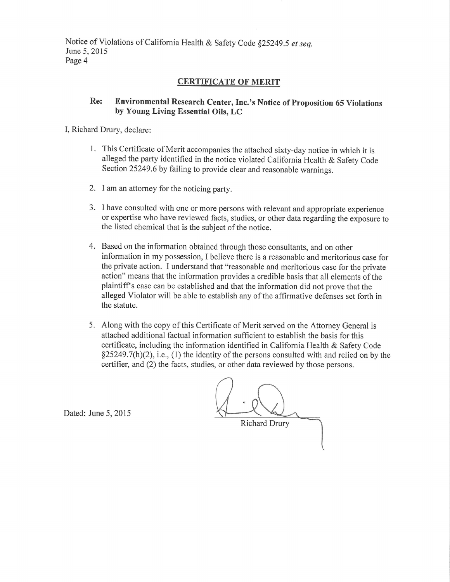Notice of Violations of California Health & Safety Code §25249.5 et seq. June 5,2015 Page 4

## CERTIFICATE OF MERIT

#### Re: Environmental Research Center,Inc.'s Notice of Proposition 65 Violations by Young Living Essential Oils, LC

I, Richard Drury, declare:

- l. This Certificate of Merit accompanies the attached sixty-day notice in which it is alleged the party identified in the notice violated California Health & Safety Code section 25249.6 by failing to provide clear and reasonable warnings.
- 2. <sup>I</sup>am an attorney for the noticing party.
- 3. I have consulted with one or more persons with relevant and appropriate experience or expertise who have reviewed facts, studies, or other data regarding the exposure to the listed chemical that is the subject of the notice.
- 4. Based on the information obtained through those consultants, and on other information in my possession, I believe there is a reasonable and meritorious case for the private action. I understand that "reasonable and meritorious case for the private action" means that the information provides a credible basis that all elements of the plaintifPs case can be established and that the information did not prove that the alleged Violator will be able to establish any of the affirmative defenses set forth in the statute.
- Along with the copy of this Certificate of Merit served on the Attorney General is 5.attached additional factual information sufficient to establish the basis for this certificate, including the information identified in California Health & Safety Code  $\S25249.7(h)(2)$ , i.e., (1) the identity of the persons consulted with and relied on by the certifier, and (2) the facts, studies, or other data reviewed by those persons.

Dated: June 5,2015

**Richard Drury**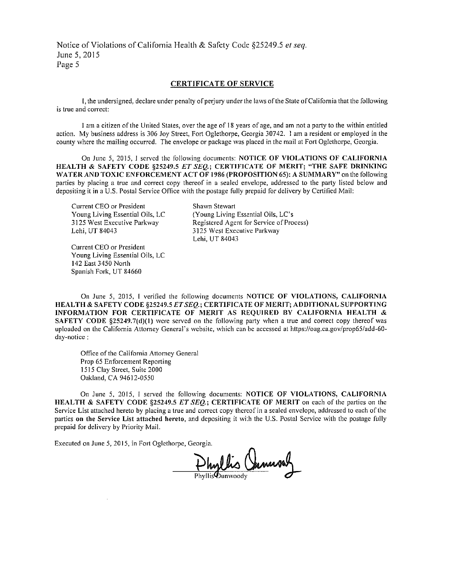Notice of Violations of California Health & Safety Code §25249.5 et seq. June 5, 2015 Page 5

### **CERTIFICATE OF SERVICE**

I, the undersigned, declare under penalty of perjury under the laws of the State of California that the following is true and correct:

I am a citizen of the United States, over the age of 18 years of age, and am not a party to the within entitled action. My business address is 306 Joy Street, Fort Oglethorpe, Georgia 30742. 1 am a resident or employed in the county where the mailing occurred. The envelope or package was placed in the mail at Fort Oglethorpe, Georgia.

On June 5, 2015, I served the following documents: NOTICE OF VIOLATIONS OF CALIFORNIA HEALTH & SAFETY CODE §25249.5 ET SEO.; CERTIFICATE OF MERIT; "THE SAFE DRINKING WATER AND TOXIC ENFORCEMENT ACT OF 1986 (PROPOSITION 65): A SUMMARY" on the following parties by placing a true and correct copy thereof in a sealed envelope, addressed to the party listed below and depositing it in a U.S. Postal Service Office with the postage fully prepaid for delivery by Certified Mail:

**Current CEO or President** Young Living Essential Oils, LC 3125 West Executive Parkway Lehi, UT 84043

Current CEO or President Young Living Essential Oils, LC 142 East 3450 North Spanish Fork, UT 84660

Shawn Stewart (Young Living Essential Oils, LC's Registered Agent for Service of Process) 3125 West Executive Parkway Lehi, UT 84043

On June 5, 2015, I verified the following documents NOTICE OF VIOLATIONS, CALIFORNIA HEALTH & SAFETY CODE §25249.5 ET SEO.; CERTIFICATE OF MERIT; ADDITIONAL SUPPORTING INFORMATION FOR CERTIFICATE OF MERIT AS REQUIRED BY CALIFORNIA HEALTH & SAFETY CODE §25249.7(d)(1) were served on the following party when a true and correct copy thereof was uploaded on the California Attorney General's website, which can be accessed at https://oag.ca.gov/prop65/add-60day-notice:

Office of the California Attorney General Prop 65 Enforcement Reporting 1515 Clay Street, Suite 2000 Oakland, CA 94612-0550

On June 5, 2015, I served the following documents: NOTICE OF VIOLATIONS, CALIFORNIA HEALTH & SAFETY CODE §25249.5 ET SEQ.; CERTIFICATE OF MERIT on each of the parties on the Service List attached hereto by placing a true and correct copy thereof in a sealed envelope, addressed to each of the parties on the Service List attached hereto, and depositing it with the U.S. Postal Service with the postage fully prepaid for delivery by Priority Mail.

Executed on June 5, 2015, in Fort Oglethorpe, Georgia.

Dhyllis Christian